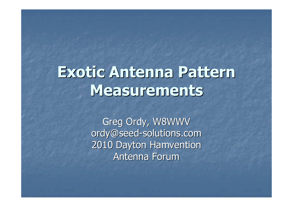# **Exotic Antenna Pattern Measurements**

Greg Ordy, W8WWV ordy@seed-solutions.com2010 Dayton HamventionAntenna Forum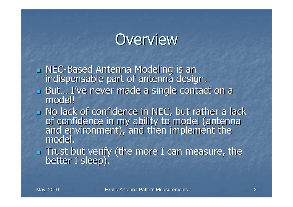#### **Overview**

 $\mathbb{R}^2$ NEC-Based Antenna Modeling is an indispensable part of antenna design.

- $\mathbb{R}^2$ But... I've never made a single contact on a<br>model!
- $\mathbb{R}^2$ D No lack of confidence in NEC, but rather a lack of confidence in my ability to model (antenna and environment), and then implement the model.
- $\mathbb{R}^2$ **Trust but verify (the more I can measure, the up to the light** better I sleep).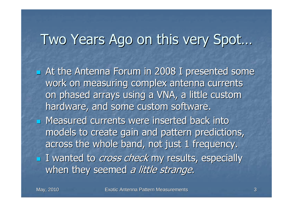#### Two Years Ago on this very Spot…

 $\mathbb{R}^2$ **Example 2008** I presented some work on measuring complex antenna currents on phased arrays using a VNA, a little custom hardware, and some custom software.

 $\mathbb{R}^2$ **Neasured currents were inserted back into** models to create gain and pattern predictions, across the whole band, not just 1 frequency. $\mathbb{R}^2$ **I** I wanted to *cross check* my results, especially when they seemed a little strange.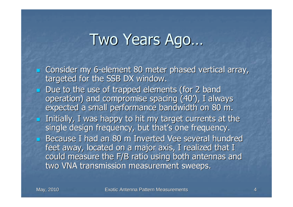#### Two Years Ago…

- **E** Consider my 6-element 80 meter phased vertical array, targeted for the SSB DX window.
- Due to the use of trapped elements (for 2 band operation) and compromise spacing (40'), I always expected a small performance bandwidth on 80 m.
- **Initially, I was happy to hit my target currents at the** single design frequency, but that's one frequency.
- **Because I had an 80 m Inverted Vee several hundred** feet away, located on a major axis, I realized that I could measure the F/B ratio using both antennas andtwo VNA transmission measurement sweeps.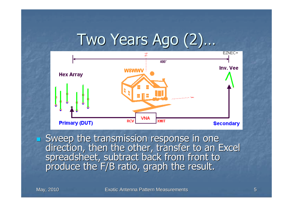#### Two Years Ago (2)…



Sweep the transmission response in one Sweep the transmission response in one direction, then the other, transfer to an Excel spreadsheet, subtract back from front to produce the F/B ratio, graph the result.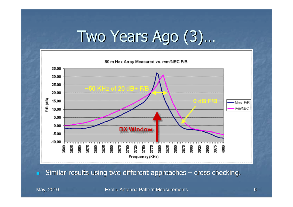# Two Years Ago (3)…



п Similar results using two different approaches – cross checking.

May, 2010

Exotic Antenna Pattern Measurements <sup>6</sup>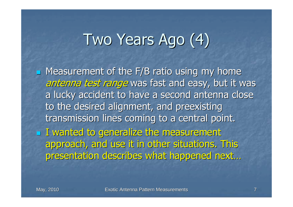# Two Years Ago (4)

 $\mathbb{R}^2$ **Neasurement of the F/B ratio using my home** antenna test range was fast and easy, but it was a lucky accident to have a second antenna close to the desired alignment, and preexisting transmission lines coming to a central point. $\mathbb{R}^2$  $\blacksquare$  I wanted to generalize the measurement approach, and use it in other situations. This presentation describes what happened next…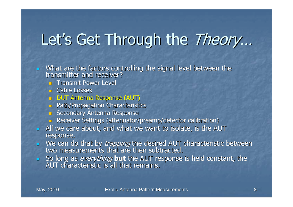# Let's Get Through the Theory…

■ What are the factors controlling the signal level between the transmitter and receiver?

- **Transmit Power Level**
- **D** Cable Losses
- DUT Antenna Response (AUT)
- **Path/Propagation Characteristics**
- **Secondary Antenna Response**
- **Receiver Settings (attenuator/preamp/detector calibration)**
- **All we care about, and what we want to isolate, is the AUT** response.
- We can do that by *trapping* the desired AUT characteristic between<br>two measurements that are then subtracted.
- So long as everything **but** the AUT response is held constant, the AUT characteristic is all that remains.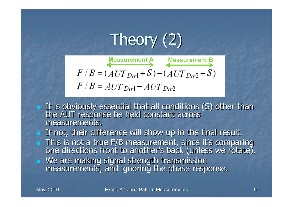Theory (2)

$$
F/B = (AUT_{Dir1} + S) - (AUT_{Dir2} + S)
$$
  

$$
F/B = AUT_{Dir1} - AUT_{Dir2}
$$

- It is obviously essential that all conditions (S) other than the AUT response be held constant across measurements.
- $\blacksquare$  If not, their difference will show up in the final result.
- This is not a true F/B measurement, since it's comparing<br>one directions front to another's back (unless we rotate).
- We are making signal strength transmission measurements, and ignoring the phase response.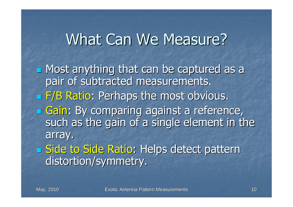#### What Can We Measure?

 $\mathbb{R}^2$ **Nost anything that can be captured as a** pair of subtracted measurements. $\mathbb{R}^2$ **F/B Ratio: Perhaps the most obvious.**  $\mathcal{L}_{\mathcal{A}}$ **By comparing against a reference,** such as the gain of a single element in the array. $\mathbb{R}^2$ **<u>Eliside to Side Ratio:</u> Helps detect pattern** distortion/symmetry.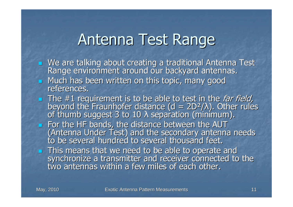#### Antenna Test Range

- We are talking about creating a traditional Antenna Test Range environment around our backyard antennas.  $\blacksquare$ Much has been written on this topic, many good references.
- The #1 requirement is to be able to test in the *far field,* beyond the Fraunhofer distance (d = 2D<sup>2</sup>/λ). Other rules of thumb suggest 3 to 10 λ separation (minimum).  $\lambda$  separation (minimum).
- $\blacksquare$  For the HF bands, the distance between the AUT (Antenna Under Test) and the secondary antenna needs to be several hundred to several thousand feet.
- **This means that we need to be able to operate and regional to a mean in the sympatical to** synchronize a transmitter and receiver connected to the two antennas within a few miles of each other.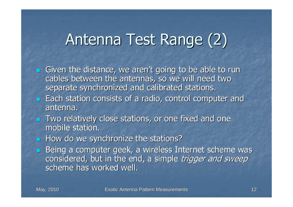# Antenna Test Range (2)

- **Siven the distance, we aren't going to be able to run** cables between the antennas, so we will need two separate synchronized and calibrated stations.
- **Each station consists of a radio, control computer and Lang Constructs** antenna.
- **Two relatively close stations, or one fixed and one** mobile station.
- $\blacksquare$  How do we synchronize the stations?
- **Being a computer geek, a wireless Internet scheme was** considered, but in the end, a simple trigger and sweep scheme has worked well.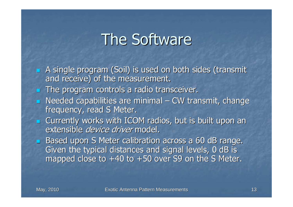#### The Software

- **A** single program (Soil) is used on both sides (transmit and receive) of the measurement.
- $\blacksquare$  The program controls a radio transceiver.
- **Needed capabilities are minimal CW transmit, change** frequency, read S Meter.
- **E** Currently works with ICOM radios, but is built upon an extensible *device driver* model.
- Based upon S Meter calibration across a 60 dB range. Given the typical distances and signal levels, 0 dB is mapped close to +40 to +50 over S9 on the S Meter.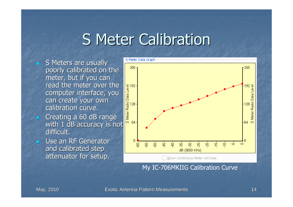#### S Meter Calibration

- S Meters are usually poorly calibrated on the meter, but if you can read the meter over the computer interface, you can create your own calibration curve.read the meter over the<br>computer interface, you<br>can create your own<br>calibration curve.<br>Creating a 60 dB range<br>with 1 dB accuracy is not
- **Creating a 60 dB range** difficult.
- **Duse an RF Generator** and calibrated step attenuator for setup.



My IC-706MKIIG Calibration Curve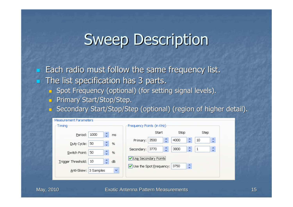#### Sweep Description

 $\blacksquare$  Each radio must follow the same frequency list.  $\blacksquare$  The list specification has 3 parts.

- Spot Frequency (optional) (for setting signal levels).
- **B** Primary Start/Stop/Step.
- Secondary Start/Stop/Step (optional) (region of higher detail).

| -Measurement Parameters                                     |                                                                                      |  |  |  |  |
|-------------------------------------------------------------|--------------------------------------------------------------------------------------|--|--|--|--|
| Timing                                                      | Frequency Points (in KHz)                                                            |  |  |  |  |
| A.<br>1000<br>Period:<br>ms<br>$\mathbf{v}$                 | Start<br>Stop<br>Step                                                                |  |  |  |  |
| ٠<br>50<br>Duty Cycle:<br>%<br>$\ddot{\phantom{1}}$         | ٨<br>A<br>10<br>3500<br>4000<br>Primary:<br>$\ddot{}$<br>v<br>¥                      |  |  |  |  |
| 木<br>50<br>Switch Point:<br>%<br>÷.                         | ٨<br>×.<br>٨<br>3800<br>3770<br>$\mathbf{1}$<br>Secondary:<br>÷<br>v<br>$\mathbf{v}$ |  |  |  |  |
| ٠<br>10<br>Trigger Threshold:<br>dB<br>$\ddot{\phantom{1}}$ | Us <u>e</u> Secondary Points<br>×.<br>Use the Spot Frequency:<br>3750                |  |  |  |  |
| $\checkmark$<br>Anti-Skew:<br>3 Samples                     | Ų                                                                                    |  |  |  |  |
|                                                             |                                                                                      |  |  |  |  |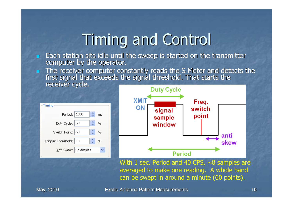# Timing and Control

- **Each station sits idle until the sweep is started on the transmitter<br>computer by the operator.**
- The receiver computer constantly reads the S Meter and detects the first signal that exceeds the signal threshold. That starts the receiver cycle.





With 1 sec. Period and 40 CPS,  $\sim$ 8 samples are averaged to make one reading. A whole band can be swept in around a minute (60 points).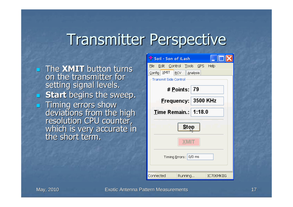#### Transmitter Perspective

**The XMIT** button turns<br>An the transmitter for on the transmitter for setting signal levels. **Start** begins the sweep. Timing errors show deviations from the high resolution CPU counter, which is very accurate in the short term.

| Soil - Son of iLash              |         |  |            |  |  |
|----------------------------------|---------|--|------------|--|--|
| File Edit Control Tools GPS Help |         |  |            |  |  |
| Config XMIT RCV Analysis         |         |  |            |  |  |
| <b>Transmit Side Control</b>     |         |  |            |  |  |
| # Points: 79                     |         |  |            |  |  |
| <u>F</u> requency: 3500 KHz      |         |  |            |  |  |
| Time Remain.:   1:18.0           |         |  |            |  |  |
| Ston                             |         |  |            |  |  |
| <b>XMIT</b>                      |         |  |            |  |  |
| Timing Errors: 0/0 ms            |         |  |            |  |  |
| Connected                        | Running |  | IC706MKIIG |  |  |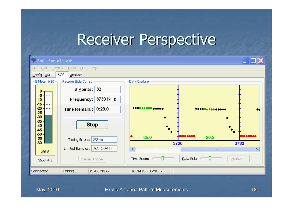#### Receiver Perspective

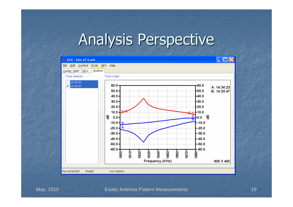#### Analysis Perspective

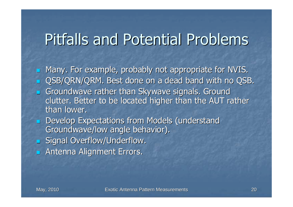# Pitfalls and Potential Problems

**<u>E</u>** Many. For example, probably not appropriate for NVIS. **Dama CSB/QRN/QRM. Best done on a dead band with no QSB.** 

- Groundwave rather than Skywave signals. Ground clutter. Better to be located higher than the AUT rather than lower.
- **Develop Expectations from Models (understand** Groundwave/low angle behavior).
- Signal Overflow/Underflow.
- **Reading Alignment Errors.**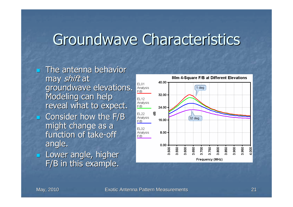#### Groundwave Characteristics

- **The antenna behavior** may *shift* at groundwave elevations. Modeling can help reveal what to expect.
- $\blacksquare$  Consider how the F/B might change as a function of take-off angle.
- **Lower angle, higher** F/B in this example.

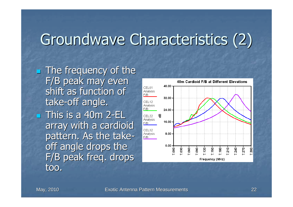# Groundwave Characteristics (2)

 $\mathbb{R}^2$ **The frequency of the** F/B peak may even shift as function of take-off angle. $\mathbb{R}^2$  $\blacksquare$  This is a 40m 2-EL  $\blacksquare$ array with a cardioid pattern. As the take off angle drops the F/B peak freq. drops too.

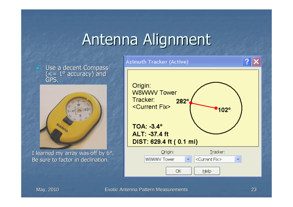# Antenna Alignment



Be sure to factor in declination.

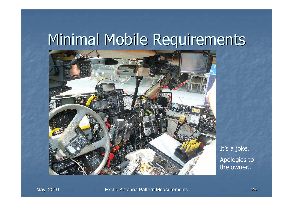# Minimal Mobile Requirements



It's a joke.Apologies to the owner..

May, 2010

Exotic Antenna Pattern Measurements <sup>24</sup>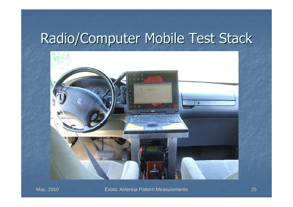#### Radio/Computer Mobile Test Stack

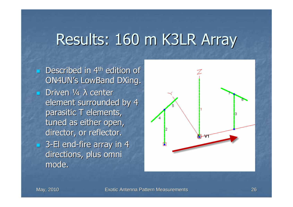#### Results: 160 m K3LR Array

 $\mathbb{R}^2$ **Described in 4th edition of** ON4UN's LowBand DXing. $\blacksquare$  Driven ¼  $\lambda$  center element surrounded by 4 parasitic T elements, tuned as either open, director, or reflector. $\blacksquare$  3-El end-fire array in 4 directions, plus omni mode.

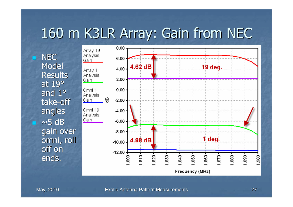#### 160 m K3LR Array: Gain from NEC

n **NEC Model**  Results at 19° and 1° take-off angles $\overline{\phantom{a}}$  ~5 dB n gain over omni, roll off on ends.

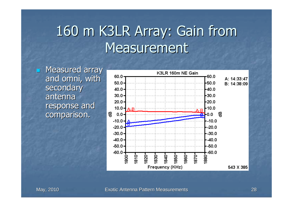#### 160 m K3LR Array: Gain from **Measurement**

**E** Measured array and omni, with secondary antenna response and comparison.

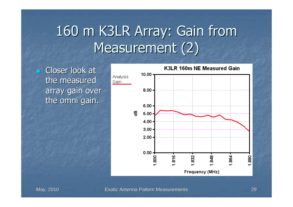# 160 m K3LR Array: Gain from Measurement (2)

**Exercise Closer look at Lea** the measured array gain over the omni gain.

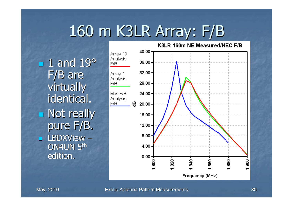# 160 m K3LR Array: F/B

 $\mathbb{R}^2$  $\blacksquare$  1 and 19 $\sp{\circ}$ F/B are virtually identical.  $\mathbb{R}^2$ **Not really** pure F/B.**LBDXView –**  ON4UN 5thedition.

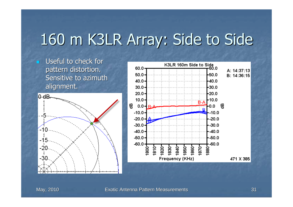# 160 m K3LR Array: Side to Side

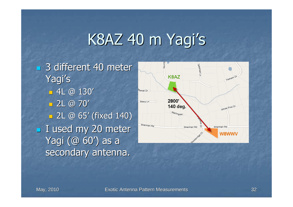# K8AZ 40 m Yagi's

 $\mathbb{R}^2$ **3 different 40 meter** Yagi's $-4$ L @  $130'$  $= 2L \oplus 70'$  2L @ 65' (fixed 140)  $\mathbb{R}^2$ **I** used my 20 meter Yagi (@ 60') as a secondary antenna.

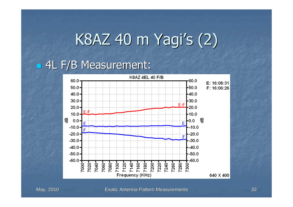# K8AZ 40 m Yagi's (2)

#### $\mathbb{R}^2$ 4L F/B Measurement:

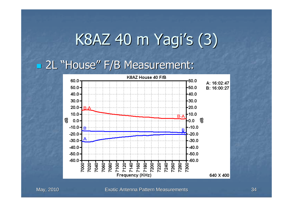# K8AZ 40 m Yagi's (3)

#### $\mathbb{R}^2$ 2L "House" F/B Measurement:

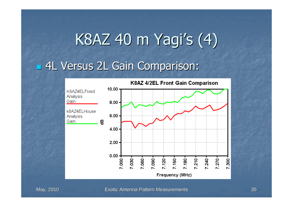# K8AZ 40 m Yagi's (4)

 $\mathbb{R}^2$ 4L Versus 2L Gain Comparison:

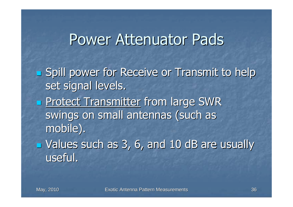#### Power Attenuator Pads

 $\mathcal{L}_{\mathcal{A}}$  Spill power for Receive or Transmit to help set signal levels.

- $\mathcal{L}_{\mathcal{A}}$ **Protect Transmitter from large SWR** swings on small antennas (such as mobile).
- $\mathbb{R}^2$  $\blacksquare$  Values such as 3, 6, and 10 dB are usually useful.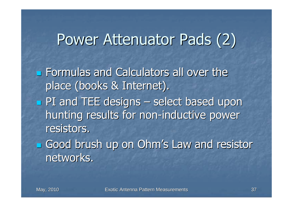# Power Attenuator Pads (2)

 $\mathcal{L}_{\mathcal{A}}$ **Example 5 and Calculators all over the** place (books & Internet). $\mathcal{L}_{\mathcal{A}}$ **PI** and TEE designs – select based upon hunting results for non-inductive power resistors.

 $\mathbb{R}^2$ **<u>Example 2000</u>** brush up on Ohm's Law and resistor networks.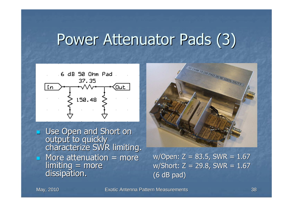#### Power Attenuator Pads (3)



Use Open and Short on output to quickly<br>characterize SWR limiting.  $\blacksquare$  More attenuation  $\blacksquare$  more limiting = more dissipation.



w/Open:  $Z = 83.5$ , SWR =  $1.67$  w/Short: Z = 29.8, SWR = 1.67(6 dB pad)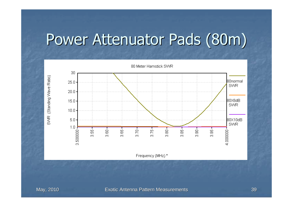# Power Attenuator Pads (80m)

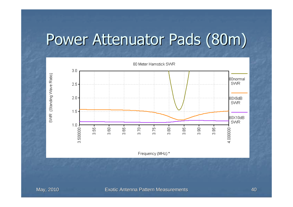# Power Attenuator Pads (80m)

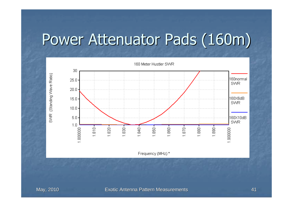# Power Attenuator Pads (160m)

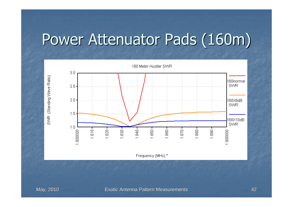# Power Attenuator Pads (160m)



May, 2010